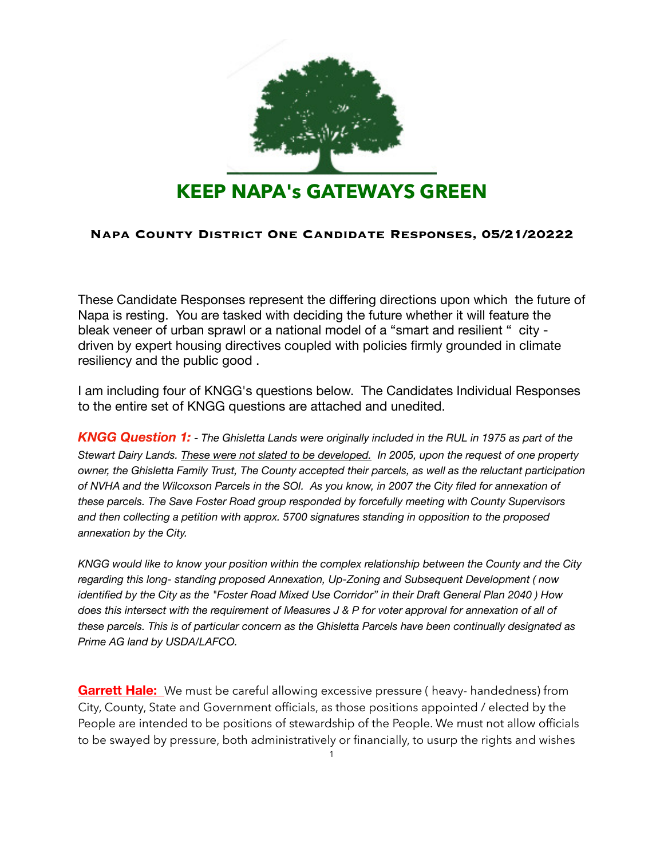

## **Napa County District One Candidate Responses, 05/21/20222**

These Candidate Responses represent the differing directions upon which the future of Napa is resting. You are tasked with deciding the future whether it will feature the bleak veneer of urban sprawl or a national model of a "smart and resilient " city driven by expert housing directives coupled with policies firmly grounded in climate resiliency and the public good .

I am including four of KNGG's questions below. The Candidates Individual Responses to the entire set of KNGG questions are attached and unedited.

*KNGG Question 1:* - *The Ghisletta Lands were originally included in the RUL in 1975 as part of the Stewart Dairy Lands. These were not slated to be developed. In 2005, upon the request of one property owner, the Ghisletta Family Trust, The County accepted their parcels, as well as the reluctant participation of NVHA and the Wilcoxson Parcels in the SOI. As you know, in 2007 the City filed for annexation of these parcels. The Save Foster Road group responded by forcefully meeting with County Supervisors and then collecting a petition with approx. 5700 signatures standing in opposition to the proposed annexation by the City.* 

*KNGG would like to know your position within the complex relationship between the County and the City regarding this long- standing proposed Annexation, Up-Zoning and Subsequent Development ( now identified by the City as the "Foster Road Mixed Use Corridor" in their Draft General Plan 2040 ) How does this intersect with the requirement of Measures J & P for voter approval for annexation of all of these parcels. This is of particular concern as the Ghisletta Parcels have been continually designated as Prime AG land by USDA/LAFCO.* 

**Garrett Hale:** We must be careful allowing excessive pressure ( heavy- handedness) from City, County, State and Government officials, as those positions appointed / elected by the People are intended to be positions of stewardship of the People. We must not allow officials to be swayed by pressure, both administratively or financially, to usurp the rights and wishes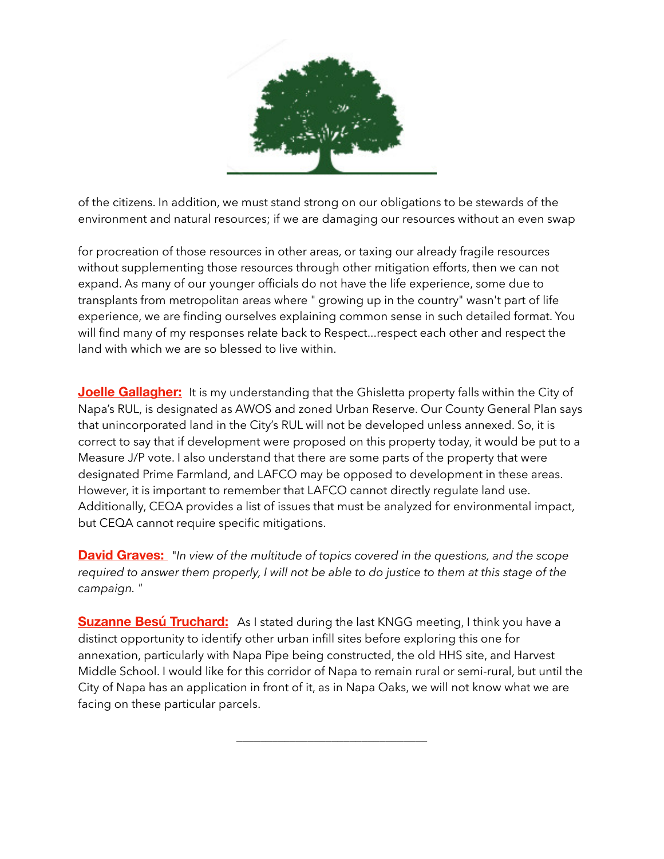

of the citizens. In addition, we must stand strong on our obligations to be stewards of the environment and natural resources; if we are damaging our resources without an even swap

for procreation of those resources in other areas, or taxing our already fragile resources without supplementing those resources through other mitigation efforts, then we can not expand. As many of our younger officials do not have the life experience, some due to transplants from metropolitan areas where " growing up in the country" wasn't part of life experience, we are finding ourselves explaining common sense in such detailed format. You will find many of my responses relate back to Respect...respect each other and respect the land with which we are so blessed to live within.

**Joelle Gallagher:** It is my understanding that the Ghisletta property falls within the City of Napa's RUL, is designated as AWOS and zoned Urban Reserve. Our County General Plan says that unincorporated land in the City's RUL will not be developed unless annexed. So, it is correct to say that if development were proposed on this property today, it would be put to a Measure J/P vote. I also understand that there are some parts of the property that were designated Prime Farmland, and LAFCO may be opposed to development in these areas. However, it is important to remember that LAFCO cannot directly regulate land use. Additionally, CEQA provides a list of issues that must be analyzed for environmental impact, but CEQA cannot require specific mitigations.

**David Graves:** *"In view of the multitude of topics covered in the questions, and the scope required to answer them properly, I will not be able to do justice to them at this stage of the campaign. "*

**Suzanne Besú Truchard:** As I stated during the last KNGG meeting, I think you have a distinct opportunity to identify other urban infill sites before exploring this one for annexation, particularly with Napa Pipe being constructed, the old HHS site, and Harvest Middle School. I would like for this corridor of Napa to remain rural or semi-rural, but until the City of Napa has an application in front of it, as in Napa Oaks, we will not know what we are facing on these particular parcels.

\_\_\_\_\_\_\_\_\_\_\_\_\_\_\_\_\_\_\_\_\_\_\_\_\_\_\_\_\_\_\_\_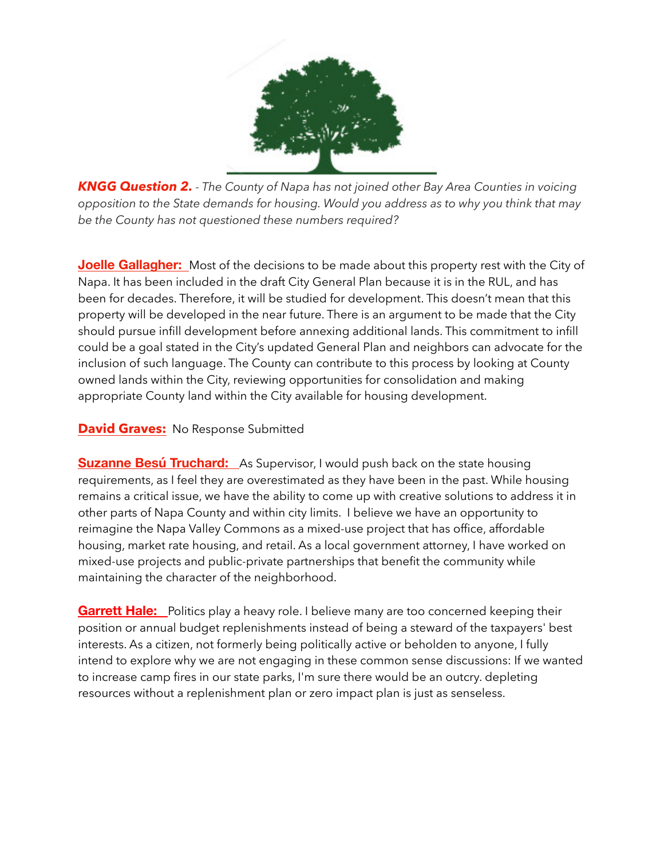

*KNGG Question 2. - The County of Napa has not joined other Bay Area Counties in voicing opposition to the State demands for housing. Would you address as to why you think that may be the County has not questioned these numbers required?* 

**Joelle Gallagher:** Most of the decisions to be made about this property rest with the City of Napa. It has been included in the draft City General Plan because it is in the RUL, and has been for decades. Therefore, it will be studied for development. This doesn't mean that this property will be developed in the near future. There is an argument to be made that the City should pursue infill development before annexing additional lands. This commitment to infill could be a goal stated in the City's updated General Plan and neighbors can advocate for the inclusion of such language. The County can contribute to this process by looking at County owned lands within the City, reviewing opportunities for consolidation and making appropriate County land within the City available for housing development.

## **David Graves:** No Response Submitted

**Suzanne Besú Truchard:** As Supervisor, I would push back on the state housing requirements, as I feel they are overestimated as they have been in the past. While housing remains a critical issue, we have the ability to come up with creative solutions to address it in other parts of Napa County and within city limits. I believe we have an opportunity to reimagine the Napa Valley Commons as a mixed-use project that has office, affordable housing, market rate housing, and retail. As a local government attorney, I have worked on mixed-use projects and public-private partnerships that benefit the community while maintaining the character of the neighborhood.

**Garrett Hale:** Politics play a heavy role. I believe many are too concerned keeping their position or annual budget replenishments instead of being a steward of the taxpayers' best interests. As a citizen, not formerly being politically active or beholden to anyone, I fully intend to explore why we are not engaging in these common sense discussions: If we wanted to increase camp fires in our state parks, I'm sure there would be an outcry. depleting resources without a replenishment plan or zero impact plan is just as senseless.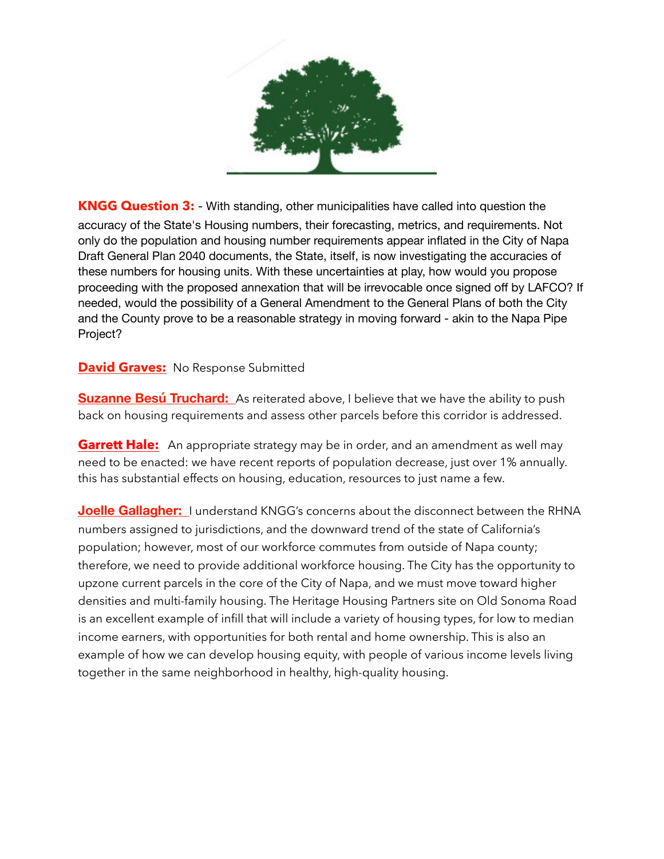

**KNGG Question 3:** - With standing, other municipalities have called into question the accuracy of the State's Housing numbers, their forecasting, metrics, and requirements. Not only do the population and housing number requirements appear inflated in the City of Napa Draft General Plan 2040 documents, the State, itself, is now investigating the accuracies of these numbers for housing units. With these uncertainties at play, how would you propose proceeding with the proposed annexation that will be irrevocable once signed off by LAFCO? If needed, would the possibility of a General Amendment to the General Plans of both the City and the County prove to be a reasonable strategy in moving forward - akin to the Napa Pipe Project?

**David Graves:** No Response Submitted

**Suzanne Besú Truchard:** As reiterated above, I believe that we have the ability to push back on housing requirements and assess other parcels before this corridor is addressed.

**Garrett Hale:** An appropriate strategy may be in order, and an amendment as well may need to be enacted: we have recent reports of population decrease, just over 1% annually. this has substantial effects on housing, education, resources to just name a few.

**Joelle Gallagher:** I understand KNGG's concerns about the disconnect between the RHNA numbers assigned to jurisdictions, and the downward trend of the state of California's population; however, most of our workforce commutes from outside of Napa county; therefore, we need to provide additional workforce housing. The City has the opportunity to upzone current parcels in the core of the City of Napa, and we must move toward higher densities and multi-family housing. The Heritage Housing Partners site on Old Sonoma Road is an excellent example of infill that will include a variety of housing types, for low to median income earners, with opportunities for both rental and home ownership. This is also an example of how we can develop housing equity, with people of various income levels living together in the same neighborhood in healthy, high-quality housing.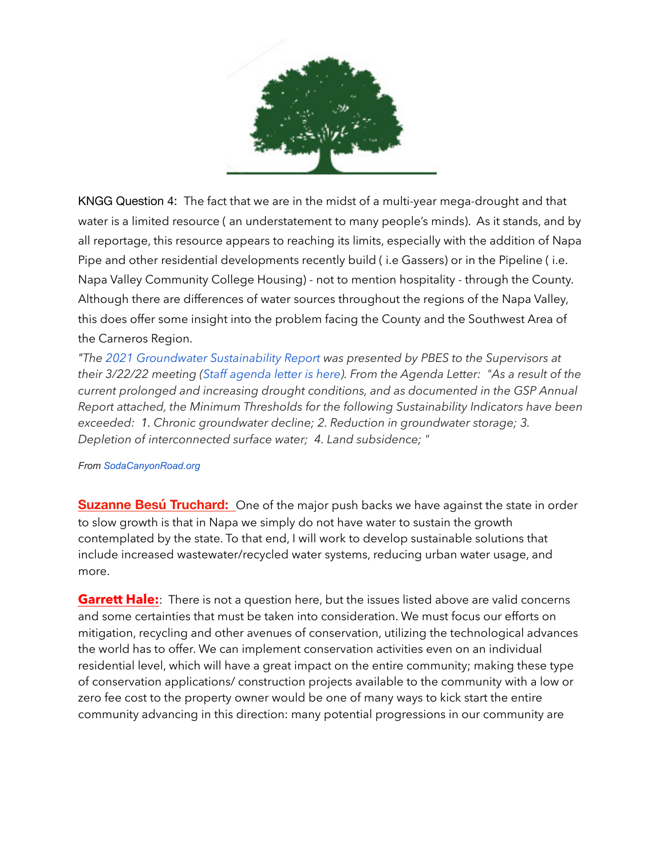

KNGG Question 4: The fact that we are in the midst of a multi-year mega-drought and that water is a limited resource ( an understatement to many people's minds). As it stands, and by all reportage, this resource appears to reaching its limits, especially with the addition of Napa Pipe and other residential developments recently build ( i.e Gassers) or in the Pipeline ( i.e. Napa Valley Community College Housing) - not to mention hospitality - through the County. Although there are differences of water sources throughout the regions of the Napa Valley, this does offer some insight into the problem facing the County and the Southwest Area of the Carneros Region.

*"The 2021 Groundwater Sustainability Report was presented by PBES to the Supervisors at their 3/22/22 meeting (Staff agenda letter is here). From the Agenda Letter: "As a result of the current prolonged and increasing drought conditions, and as documented in the GSP Annual Report attached, the Minimum Thresholds for the following Sustainability Indicators have been exceeded: 1. Chronic groundwater decline; 2. Reduction in groundwater storage; 3. Depletion of interconnected surface water; 4. Land subsidence; "*

## *From SodaCanyonRoad.org*

**Suzanne Besú Truchard:** One of the major push backs we have against the state in order to slow growth is that in Napa we simply do not have water to sustain the growth contemplated by the state. To that end, I will work to develop sustainable solutions that include increased wastewater/recycled water systems, reducing urban water usage, and more.

**Garrett Hale:** There is not a question here, but the issues listed above are valid concerns and some certainties that must be taken into consideration. We must focus our efforts on mitigation, recycling and other avenues of conservation, utilizing the technological advances the world has to offer. We can implement conservation activities even on an individual residential level, which will have a great impact on the entire community; making these type of conservation applications/ construction projects available to the community with a low or zero fee cost to the property owner would be one of many ways to kick start the entire community advancing in this direction: many potential progressions in our community are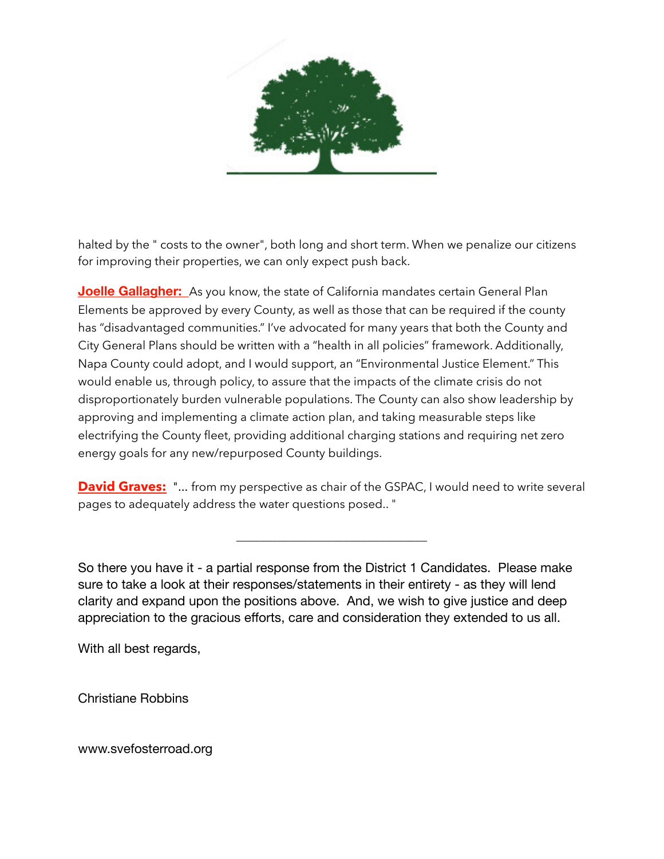

halted by the " costs to the owner", both long and short term. When we penalize our citizens for improving their properties, we can only expect push back.

**Joelle Gallagher:** As you know, the state of California mandates certain General Plan Elements be approved by every County, as well as those that can be required if the county has "disadvantaged communities." I've advocated for many years that both the County and City General Plans should be written with a "health in all policies" framework. Additionally, Napa County could adopt, and I would support, an "Environmental Justice Element." This would enable us, through policy, to assure that the impacts of the climate crisis do not disproportionately burden vulnerable populations. The County can also show leadership by approving and implementing a climate action plan, and taking measurable steps like electrifying the County fleet, providing additional charging stations and requiring net zero energy goals for any new/repurposed County buildings.

**David Graves:** "... from my perspective as chair of the GSPAC, I would need to write several pages to adequately address the water questions posed.. "

\_\_\_\_\_\_\_\_\_\_\_\_\_\_\_\_\_\_\_\_\_\_\_\_\_\_\_\_\_\_\_\_

So there you have it - a partial response from the District 1 Candidates. Please make sure to take a look at their responses/statements in their entirety - as they will lend clarity and expand upon the positions above. And, we wish to give justice and deep appreciation to the gracious efforts, care and consideration they extended to us all.

With all best regards,

Christiane Robbins

www.svefosterroad.org